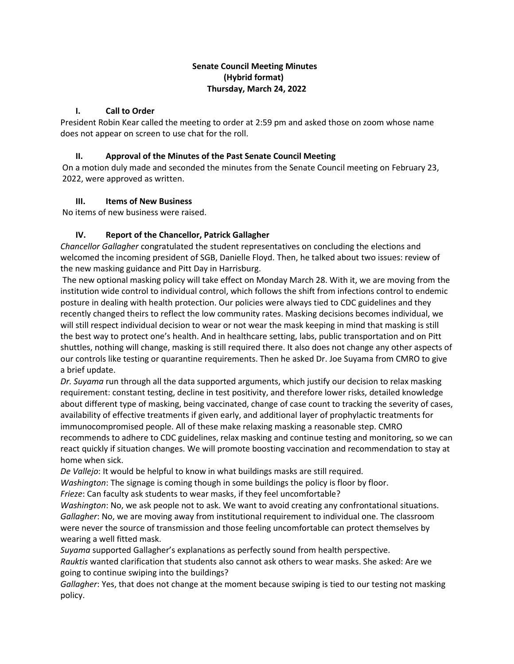# **Senate Council Meeting Minutes (Hybrid format) Thursday, March 24, 2022**

## **I. Call to Order**

President Robin Kear called the meeting to order at 2:59 pm and asked those on zoom whose name does not appear on screen to use chat for the roll.

## **II. Approval of the Minutes of the Past Senate Council Meeting**

On a motion duly made and seconded the minutes from the Senate Council meeting on February 23, 2022, were approved as written.

## **III. Items of New Business**

No items of new business were raised.

# **IV. Report of the Chancellor, Patrick Gallagher**

*Chancellor Gallagher* congratulated the student representatives on concluding the elections and welcomed the incoming president of SGB, Danielle Floyd. Then, he talked about two issues: review of the new masking guidance and Pitt Day in Harrisburg.

The new optional masking policy will take effect on Monday March 28. With it, we are moving from the institution wide control to individual control, which follows the shift from infections control to endemic posture in dealing with health protection. Our policies were always tied to CDC guidelines and they recently changed theirs to reflect the low community rates. Masking decisions becomes individual, we will still respect individual decision to wear or not wear the mask keeping in mind that masking is still the best way to protect one's health. And in healthcare setting, labs, public transportation and on Pitt shuttles, nothing will change, masking is still required there. It also does not change any other aspects of our controls like testing or quarantine requirements. Then he asked Dr. Joe Suyama from CMRO to give a brief update.

*Dr. Suyama* run through all the data supported arguments, which justify our decision to relax masking requirement: constant testing, decline in test positivity, and therefore lower risks, detailed knowledge about different type of masking, being vaccinated, change of case count to tracking the severity of cases, availability of effective treatments if given early, and additional layer of prophylactic treatments for immunocompromised people. All of these make relaxing masking a reasonable step. CMRO recommends to adhere to CDC guidelines, relax masking and continue testing and monitoring, so we can react quickly if situation changes. We will promote boosting vaccination and recommendation to stay at home when sick.

*De Vallejo*: It would be helpful to know in what buildings masks are still required.

*Washington*: The signage is coming though in some buildings the policy is floor by floor.

*Frieze*: Can faculty ask students to wear masks, if they feel uncomfortable?

*Washington*: No, we ask people not to ask. We want to avoid creating any confrontational situations. *Gallagher*: No, we are moving away from institutional requirement to individual one. The classroom were never the source of transmission and those feeling uncomfortable can protect themselves by wearing a well fitted mask.

*Suyama* supported Gallagher's explanations as perfectly sound from health perspective.

*Rauktis* wanted clarification that students also cannot ask others to wear masks. She asked: Are we going to continue swiping into the buildings?

*Gallagher*: Yes, that does not change at the moment because swiping is tied to our testing not masking policy.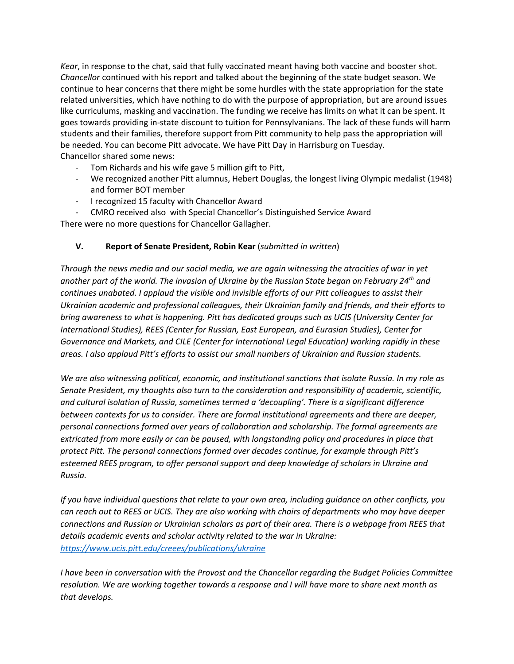*Kear*, in response to the chat, said that fully vaccinated meant having both vaccine and booster shot. *Chancellor* continued with his report and talked about the beginning of the state budget season. We continue to hear concerns that there might be some hurdles with the state appropriation for the state related universities, which have nothing to do with the purpose of appropriation, but are around issues like curriculums, masking and vaccination. The funding we receive has limits on what it can be spent. It goes towards providing in-state discount to tuition for Pennsylvanians. The lack of these funds will harm students and their families, therefore support from Pitt community to help pass the appropriation will be needed. You can become Pitt advocate. We have Pitt Day in Harrisburg on Tuesday. Chancellor shared some news:

- Tom Richards and his wife gave 5 million gift to Pitt,
- We recognized another Pitt alumnus, Hebert Douglas, the longest living Olympic medalist (1948) and former BOT member
- I recognized 15 faculty with Chancellor Award

- CMRO received also with Special Chancellor's Distinguished Service Award There were no more questions for Chancellor Gallagher.

## **V. Report of Senate President, Robin Kear** (*submitted in written*)

*Through the news media and our social media, we are again witnessing the atrocities of war in yet another part of the world. The invasion of Ukraine by the Russian State began on February 24th and continues unabated. I applaud the visible and invisible efforts of our Pitt colleagues to assist their Ukrainian academic and professional colleagues, their Ukrainian family and friends, and their efforts to bring awareness to what is happening. Pitt has dedicated groups such as UCIS (University Center for International Studies), REES (Center for Russian, East European, and Eurasian Studies), Center for Governance and Markets, and CILE (Center for International Legal Education) working rapidly in these areas. I also applaud Pitt's efforts to assist our small numbers of Ukrainian and Russian students.* 

*We are also witnessing political, economic, and institutional sanctions that isolate Russia. In my role as Senate President, my thoughts also turn to the consideration and responsibility of academic, scientific, and cultural isolation of Russia, sometimes termed a 'decoupling'. There is a significant difference between contexts for us to consider. There are formal institutional agreements and there are deeper, personal connections formed over years of collaboration and scholarship. The formal agreements are extricated from more easily or can be paused, with longstanding policy and procedures in place that protect Pitt. The personal connections formed over decades continue, for example through Pitt's esteemed REES program, to offer personal support and deep knowledge of scholars in Ukraine and Russia.* 

*If you have individual questions that relate to your own area, including guidance on other conflicts, you can reach out to REES or UCIS. They are also working with chairs of departments who may have deeper connections and Russian or Ukrainian scholars as part of their area. There is a webpage from REES that details academic events and scholar activity related to the war in Ukraine: <https://www.ucis.pitt.edu/creees/publications/ukraine>*

*I have been in conversation with the Provost and the Chancellor regarding the Budget Policies Committee resolution. We are working together towards a response and I will have more to share next month as that develops.*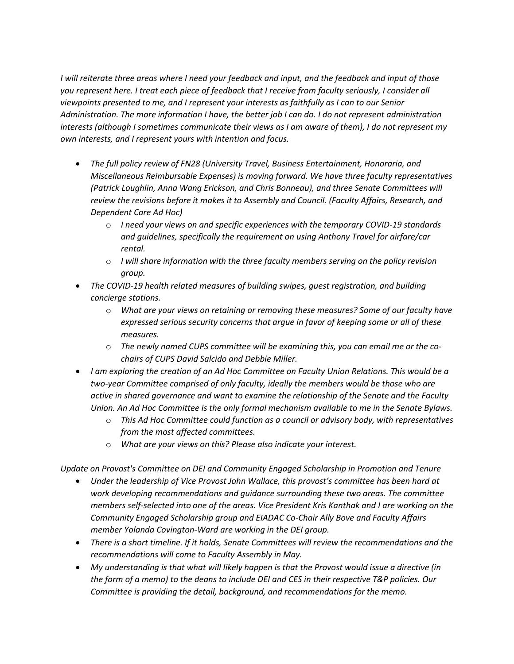*I will reiterate three areas where I need your feedback and input, and the feedback and input of those you represent here. I treat each piece of feedback that I receive from faculty seriously, I consider all viewpoints presented to me, and I represent your interests as faithfully as I can to our Senior Administration. The more information I have, the better job I can do. I do not represent administration interests (although I sometimes communicate their views as I am aware of them), I do not represent my own interests, and I represent yours with intention and focus.* 

- *The full policy review of FN28 (University Travel, Business Entertainment, Honoraria, and Miscellaneous Reimbursable Expenses) is moving forward. We have three faculty representatives (Patrick Loughlin, Anna Wang Erickson, and Chris Bonneau), and three Senate Committees will review the revisions before it makes it to Assembly and Council. (Faculty Affairs, Research, and Dependent Care Ad Hoc)*
	- o *I need your views on and specific experiences with the temporary COVID-19 standards and guidelines, specifically the requirement on using Anthony Travel for airfare/car rental.*
	- o *I will share information with the three faculty members serving on the policy revision group.*
- *The COVID-19 health related measures of building swipes, guest registration, and building concierge stations.* 
	- o *What are your views on retaining or removing these measures? Some of our faculty have expressed serious security concerns that argue in favor of keeping some or all of these measures.*
	- o *The newly named CUPS committee will be examining this, you can email me or the cochairs of CUPS David Salcido and Debbie Miller.*
- *I am exploring the creation of an Ad Hoc Committee on Faculty Union Relations. This would be a two-year Committee comprised of only faculty, ideally the members would be those who are active in shared governance and want to examine the relationship of the Senate and the Faculty Union. An Ad Hoc Committee is the only formal mechanism available to me in the Senate Bylaws.* 
	- o *This Ad Hoc Committee could function as a council or advisory body, with representatives from the most affected committees.*
	- o *What are your views on this? Please also indicate your interest.*

*Update on Provost's Committee on DEI and Community Engaged Scholarship in Promotion and Tenure*

- *Under the leadership of Vice Provost John Wallace, this provost's committee has been hard at work developing recommendations and guidance surrounding these two areas. The committee members self-selected into one of the areas. Vice President Kris Kanthak and I are working on the Community Engaged Scholarship group and EIADAC Co-Chair Ally Bove and Faculty Affairs member Yolanda Covington-Ward are working in the DEI group.*
- *There is a short timeline. If it holds, Senate Committees will review the recommendations and the recommendations will come to Faculty Assembly in May.*
- *My understanding is that what will likely happen is that the Provost would issue a directive (in the form of a memo) to the deans to include DEI and CES in their respective T&P policies. Our Committee is providing the detail, background, and recommendations for the memo.*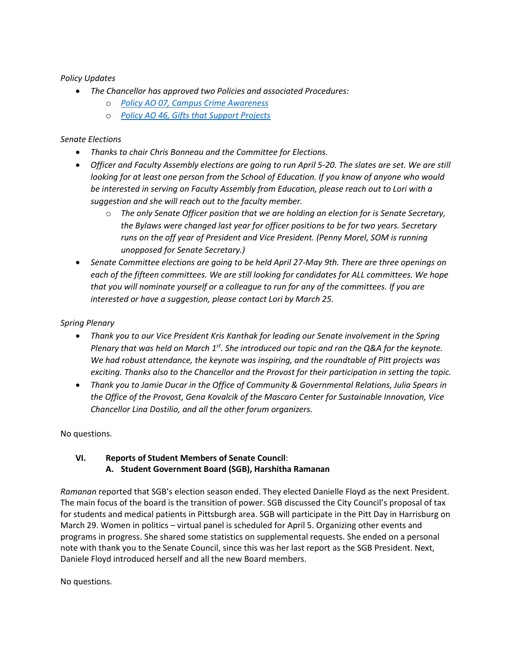## *Policy Updates*

- *The Chancellor has approved two Policies and associated Procedures:*
	- o *[Policy AO 07, Campus Crime Awareness](https://www.policy.pitt.edu/ao-07-campus-crime-awareness-crime-reporting-crime-alerts-and-emergency-notification)*
	- o *[Policy AO 46, Gifts that Support Projects](https://www.policy.pitt.edu/ao-46-gifts-support-projects)*

#### *Senate Elections*

- *Thanks to chair Chris Bonneau and the Committee for Elections.*
- *Officer and Faculty Assembly elections are going to run April 5-20. The slates are set. We are still looking for at least one person from the School of Education. If you know of anyone who would be interested in serving on Faculty Assembly from Education, please reach out to Lori with a suggestion and she will reach out to the faculty member.*
	- o *The only Senate Officer position that we are holding an election for is Senate Secretary, the Bylaws were changed last year for officer positions to be for two years. Secretary runs on the off year of President and Vice President. (Penny Morel, SOM is running unopposed for Senate Secretary.)*
- *Senate Committee elections are going to be held April 27-May 9th. There are three openings on each of the fifteen committees. We are still looking for candidates for ALL committees. We hope that you will nominate yourself or a colleague to run for any of the committees. If you are interested or have a suggestion, please contact Lori by March 25.*

#### *Spring Plenary*

- *Thank you to our Vice President Kris Kanthak for leading our Senate involvement in the Spring Plenary that was held on March 1st. She introduced our topic and ran the Q&A for the keynote. We had robust attendance, the keynote was inspiring, and the roundtable of Pitt projects was exciting. Thanks also to the Chancellor and the Provost for their participation in setting the topic.*
- *Thank you to Jamie Ducar in the Office of Community & Governmental Relations, Julia Spears in the Office of the Provost, Gena Kovalcik of the Mascaro Center for Sustainable Innovation, Vice Chancellor Lina Dostilio, and all the other forum organizers.*

No questions.

# **VI. Reports of Student Members of Senate Council**:  **A. Student Government Board (SGB), Harshitha Ramanan**

*Ramanan* reported that SGB's election season ended. They elected Danielle Floyd as the next President. The main focus of the board is the transition of power. SGB discussed the City Council's proposal of tax for students and medical patients in Pittsburgh area. SGB will participate in the Pitt Day in Harrisburg on March 29. Women in politics – virtual panel is scheduled for April 5. Organizing other events and programs in progress. She shared some statistics on supplemental requests. She ended on a personal note with thank you to the Senate Council, since this was her last report as the SGB President. Next, Daniele Floyd introduced herself and all the new Board members.

No questions.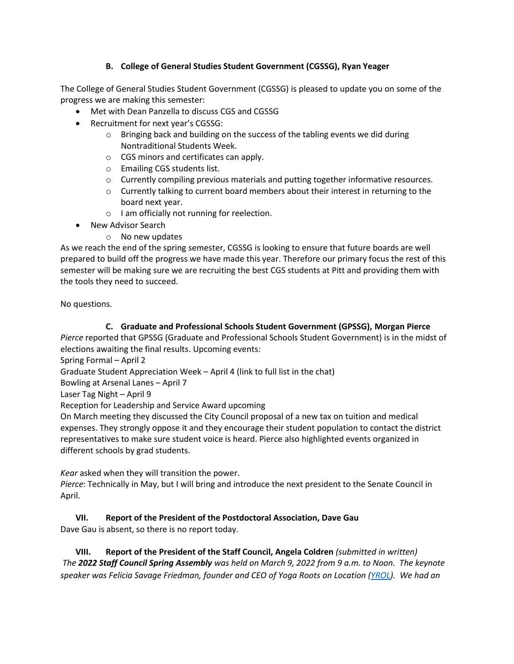# **B. College of General Studies Student Government (CGSSG), Ryan Yeager**

The College of General Studies Student Government (CGSSG) is pleased to update you on some of the progress we are making this semester:

- Met with Dean Panzella to discuss CGS and CGSSG
- Recruitment for next year's CGSSG:
	- $\circ$  Bringing back and building on the success of the tabling events we did during Nontraditional Students Week.
	- o CGS minors and certificates can apply.
	- o Emailing CGS students list.
	- o Currently compiling previous materials and putting together informative resources.
	- $\circ$  Currently talking to current board members about their interest in returning to the board next year.
	- o I am officially not running for reelection.
- New Advisor Search
	- o No new updates

As we reach the end of the spring semester, CGSSG is looking to ensure that future boards are well prepared to build off the progress we have made this year. Therefore our primary focus the rest of this semester will be making sure we are recruiting the best CGS students at Pitt and providing them with the tools they need to succeed.

No questions.

## **C. Graduate and Professional Schools Student Government (GPSSG), Morgan Pierce**

*Pierce* reported that GPSSG (Graduate and Professional Schools Student Government) is in the midst of elections awaiting the final results. Upcoming events:

Spring Formal – April 2

Graduate Student Appreciation Week – April 4 (link to full list in the chat)

Bowling at Arsenal Lanes – April 7

Laser Tag Night – April 9

Reception for Leadership and Service Award upcoming

On March meeting they discussed the City Council proposal of a new tax on tuition and medical expenses. They strongly oppose it and they encourage their student population to contact the district representatives to make sure student voice is heard. Pierce also highlighted events organized in different schools by grad students.

*Kear* asked when they will transition the power.

*Pierce*: Technically in May, but I will bring and introduce the next president to the Senate Council in April.

# **VII. Report of the President of the Postdoctoral Association, Dave Gau**

Dave Gau is absent, so there is no report today.

**VIII. Report of the President of the Staff Council, Angela Coldren** *(submitted in written) The 2022 Staff Council Spring Assembly was held on March 9, 2022 from 9 a.m. to Noon. The keynote speaker was Felicia Savage Friedman, founder and CEO of Yoga Roots on Location [\(YROL\)](https://mailingservices-readgreen.cmail20.com/t/j-l-ztudhit-drjrhhhuo-j/). We had an*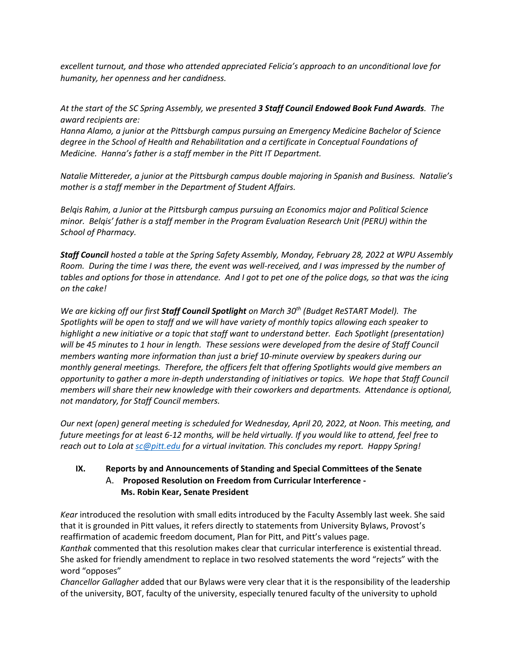*excellent turnout, and those who attended appreciated Felicia's approach to an unconditional love for humanity, her openness and her candidness.* 

*At the start of the SC Spring Assembly, we presented 3 Staff Council Endowed Book Fund Awards. The award recipients are:*

*Hanna Alamo, a junior at the Pittsburgh campus pursuing an Emergency Medicine Bachelor of Science degree in the School of Health and Rehabilitation and a certificate in Conceptual Foundations of Medicine. Hanna's father is a staff member in the Pitt IT Department.*

*Natalie Mittereder, a junior at the Pittsburgh campus double majoring in Spanish and Business. Natalie's mother is a staff member in the Department of Student Affairs.*

*Belqis Rahim, a Junior at the Pittsburgh campus pursuing an Economics major and Political Science minor. Belqis' father is a staff member in the Program Evaluation Research Unit (PERU) within the School of Pharmacy.* 

*Staff Council hosted a table at the Spring Safety Assembly, Monday, February 28, 2022 at WPU Assembly Room. During the time I was there, the event was well-received, and I was impressed by the number of tables and options for those in attendance. And I got to pet one of the police dogs, so that was the icing on the cake!*

*We are kicking off our first Staff Council Spotlight on March 30th (Budget ReSTART Model). The Spotlights will be open to staff and we will have variety of monthly topics allowing each speaker to highlight a new initiative or a topic that staff want to understand better. Each Spotlight (presentation) will be 45 minutes to 1 hour in length. These sessions were developed from the desire of Staff Council members wanting more information than just a brief 10-minute overview by speakers during our monthly general meetings. Therefore, the officers felt that offering Spotlights would give members an opportunity to gather a more in-depth understanding of initiatives or topics. We hope that Staff Council members will share their new knowledge with their coworkers and departments. Attendance is optional, not mandatory, for Staff Council members.* 

*Our next (open) general meeting is scheduled for Wednesday, April 20, 2022, at Noon. This meeting, and future meetings for at least 6-12 months, will be held virtually. If you would like to attend, feel free to reach out to Lola a[t sc@pitt.edu](mailto:sc@pitt.edu) for a virtual invitation. This concludes my report. Happy Spring!*

# **IX. Reports by and Announcements of Standing and Special Committees of the Senate** A. **Proposed Resolution on Freedom from Curricular Interference - Ms. Robin Kear, Senate President**

*Kear* introduced the resolution with small edits introduced by the Faculty Assembly last week. She said that it is grounded in Pitt values, it refers directly to statements from University Bylaws, Provost's reaffirmation of academic freedom document, Plan for Pitt, and Pitt's values page. *Kanthak* commented that this resolution makes clear that curricular interference is existential thread. She asked for friendly amendment to replace in two resolved statements the word "rejects" with the word "opposes"

*Chancellor Gallagher* added that our Bylaws were very clear that it is the responsibility of the leadership of the university, BOT, faculty of the university, especially tenured faculty of the university to uphold